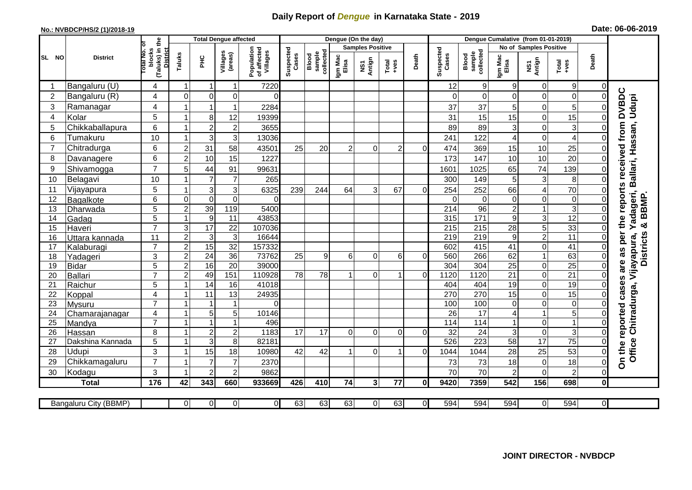## **Daily Report of** *Dengue* **in Karnataka State - 2019**

## **No.: NVBDCP/HS/2 (1)/2018-19 Date: 06-06-2019**

|                | <b>District</b>          |                                          |                                     | <b>Total Dengue affected</b>          |                           |                              |                  |                                  |                         | Dengue (On the day)     |                    |                              |                  |                  |                               |                |                         |                         |                                                    |
|----------------|--------------------------|------------------------------------------|-------------------------------------|---------------------------------------|---------------------------|------------------------------|------------------|----------------------------------|-------------------------|-------------------------|--------------------|------------------------------|------------------|------------------|-------------------------------|----------------|-------------------------|-------------------------|----------------------------------------------------|
| SL NO          |                          |                                          |                                     |                                       |                           |                              |                  |                                  | <b>Samples Positive</b> |                         |                    |                              |                  |                  | <b>No of Samples Positive</b> |                |                         |                         |                                                    |
|                |                          | (Taluks) in the<br>otal No. ol<br>blocks | Villages<br>(areas)<br>Taluks<br>ΞÉ | Population<br>of affected<br>Villages | Suspected<br>Cases        | sample<br>collected<br>Blood | Igm Mac<br>Elisa | Antign<br>$\overline{\text{MS}}$ | $Tota$<br>$+ves$        | Death                   | Suspected<br>Cases | collected<br>sample<br>Blood | Igm Mac<br>Elisa | NS1<br>Antign    | $Tota$<br>$+ves$              | Death          |                         |                         |                                                    |
|                | Bangaluru (U)            | 4                                        | $\overline{1}$                      | -1                                    | $\mathbf{1}$              | 7220                         |                  |                                  |                         |                         |                    |                              | 12               | $\boldsymbol{9}$ | 9                             | 0              | 9                       | 0                       |                                                    |
| $\overline{2}$ | Bangaluru (R)            | 4                                        | $\overline{0}$                      | $\mathbf 0$                           | 0                         | $\Omega$                     |                  |                                  |                         |                         |                    |                              | $\Omega$         | $\overline{0}$   | $\Omega$                      | 0              | $\mathbf 0$             | $\mathbf 0$             |                                                    |
| 3              | Ramanagar                | 4                                        |                                     | -1                                    | $\mathbf{1}$              | 2284                         |                  |                                  |                         |                         |                    |                              | 37               | 37               | 5                             | 0              | 5                       | $\Omega$                | <b>DVBDC</b><br>Udupi                              |
| $\overline{4}$ | Kolar                    | 5                                        | 1                                   | 8                                     | 12                        | 19399                        |                  |                                  |                         |                         |                    |                              | 31               | 15               | 15                            | $\mathbf 0$    | 15                      | $\overline{0}$          |                                                    |
| 5              | Chikkaballapura          | 6                                        | 1                                   | $\overline{c}$                        | $\overline{\mathbf{c}}$   | 3655                         |                  |                                  |                         |                         |                    |                              | 89               | 89               | 3                             | 0              | 3                       | $\Omega$                |                                                    |
| 6              | Tumakuru                 | 10                                       | -1                                  | 3                                     | $\ensuremath{\mathsf{3}}$ | 13036                        |                  |                                  |                         |                         |                    |                              | 241              | 122              | 4                             | $\mathbf 0$    | $\overline{\mathbf{4}}$ | $\Omega$                |                                                    |
| $\overline{7}$ | Chitradurga              | 6                                        | $\overline{2}$                      | 31                                    | 58                        | 43501                        | 25               | 20                               | $\overline{2}$          | $\Omega$                | $\overline{2}$     | $\Omega$                     | 474              | 369              | 15                            | 10             | 25                      | $\mathbf 0$             |                                                    |
| 8              | Davanagere               | 6                                        | $\overline{2}$                      | 10                                    | 15                        | 1227                         |                  |                                  |                         |                         |                    |                              | 173              | 147              | 10                            | 10             | $\overline{20}$         | $\mathbf 0$             |                                                    |
| 9              | Shivamogga               | $\overline{7}$                           | 5                                   | 44                                    | 91                        | 99631                        |                  |                                  |                         |                         |                    |                              | 1601             | 1025             | 65                            | 74             | 139                     | $\Omega$                | Ballari, Hassan,<br>received from                  |
| 10             | Belagavi                 | 10                                       |                                     | $\overline{7}$                        | $\overline{7}$            | 265                          |                  |                                  |                         |                         |                    |                              | 300              | 149              | 5                             | $\mathbf{3}$   | 8                       | $\Omega$                | <b>S</b>                                           |
| 11             | Vijayapura               | 5                                        |                                     | 3                                     | $\mathsf 3$               | 6325                         | 239              | 244                              | 64                      | 3                       | 67                 | $\Omega$                     | 254              | 252              | 66                            | 4              | 70                      | $\Omega$                |                                                    |
| 12             | Bagalkote                | 6                                        | $\Omega$                            | $\mathbf 0$                           | $\mathbf 0$               | $\Omega$                     |                  |                                  |                         |                         |                    |                              | $\Omega$         | $\Omega$         | $\mathbf 0$                   | 0              | $\overline{0}$          | $\mathbf 0$             | report<br>Yadageri,<br>& BBMP                      |
| 13             | Dharwada                 | $\overline{5}$                           | $\overline{2}$                      | 39                                    | 119                       | 5400                         |                  |                                  |                         |                         |                    |                              | $\overline{214}$ | 96               | $\mathbf 2$                   | $\mathbf{1}$   | $\overline{3}$          | $\mathbf 0$             |                                                    |
| 14             | Gadag                    | 5                                        | 1                                   | $\boldsymbol{9}$                      | 11                        | 43853                        |                  |                                  |                         |                         |                    |                              | 315              | $\frac{1}{171}$  | 9                             | 3              | 12                      | $\mathbf 0$             | the                                                |
| 15             | Haveri                   | $\overline{7}$                           | $\mathsf 3$                         | 17                                    | $\overline{22}$           | 107036                       |                  |                                  |                         |                         |                    |                              | 215              | $\overline{215}$ | 28                            | $\overline{5}$ | 33                      | $\mathbf 0$             |                                                    |
| 16             | Uttara kannada           | 11                                       | $\overline{c}$                      | 3                                     | $\mathbf{3}$              | 16644                        |                  |                                  |                         |                         |                    |                              | 219              | 219              | $9\,$                         | $\overline{c}$ | $\overline{11}$         | $\mathbf 0$             | <b>Districts</b><br>per                            |
| 17             | Kalaburagi               | $\overline{7}$                           | $\overline{2}$                      | 15                                    | 32                        | 157332                       |                  |                                  |                         |                         |                    |                              | 602              | 415              | 41                            | 0              | 41                      | $\Omega$                |                                                    |
| 18             | Yadageri                 | 3                                        | $\overline{2}$                      | $\overline{24}$                       | 36                        | 73762                        | 25               | 9                                | 6                       | 0                       | 6                  | $\Omega$                     | 560              | 266              | 62                            | 1              | 63                      | $\mathbf 0$             | are as                                             |
| 19             | <b>Bidar</b>             | 5                                        | $\boldsymbol{2}$                    | 16                                    | $\overline{20}$           | 39000                        |                  |                                  |                         |                         |                    |                              | 304              | 304              | 25                            | 0              | $\overline{25}$         | $\mathbf 0$             |                                                    |
| 20             | <b>Ballari</b>           | $\overline{7}$                           | $\overline{2}$                      | 49                                    | 151                       | 110928                       | 78               | 78                               |                         | 0                       | 1                  | $\mathbf 0$                  | 1120             | 1120             | 21                            | 0              | 21                      | $\mathbf 0$             | S.                                                 |
| 21             | Raichur                  | 5                                        |                                     | 14                                    | 16                        | 41018                        |                  |                                  |                         |                         |                    |                              | 404              | 404              | 19                            | 0              | $\overline{19}$         | $\Omega$                | case                                               |
| 22             | Koppal                   | $\overline{4}$                           |                                     | 11                                    | 13                        | 24935                        |                  |                                  |                         |                         |                    |                              | 270              | 270              | 15                            | $\overline{0}$ | 15                      | $\overline{0}$          |                                                    |
| 23             | Mysuru                   | $\overline{7}$                           | -1                                  | -1                                    | $\mathbf{1}$              | $\Omega$                     |                  |                                  |                         |                         |                    |                              | 100              | 100              | $\mathbf 0$                   | 0              | $\overline{0}$          | $\mathbf 0$             |                                                    |
| 24             | Chamarajanagar           | 4<br>$\overline{7}$                      | $\mathbf{1}$                        | $\mathbf 5$                           | 5                         | 10146                        |                  |                                  |                         |                         |                    |                              | 26               | 17               | 4                             | $\mathbf{1}$   | 5                       | $\mathbf 0$             |                                                    |
| 25             | Mandya                   |                                          | $\overline{ }$                      | $\overline{1}$                        | $\overline{1}$            | 496                          |                  |                                  |                         |                         |                    |                              | 114              | 114              |                               | 0              | $\overline{1}$          | $\mathbf 0$             |                                                    |
| 26             | Hassan                   | 8                                        | $\overline{1}$                      | $\sqrt{2}$                            | $\overline{c}$            | 1183                         | 17               | 17                               | $\Omega$                | $\Omega$                | $\Omega$           | $\Omega$                     | 32               | 24               | 3                             | 0<br>17        | 3<br>75                 | $\mathbf 0$             |                                                    |
| 27             | Dakshina Kannada         | 5                                        |                                     | $\overline{3}$                        | $\overline{8}$            | 82181                        |                  |                                  |                         |                         | -1                 |                              | 526              | 223              | 58                            |                |                         | $\mathbf 0$             |                                                    |
| 28             | Udupi                    | 3<br>$\overline{7}$                      |                                     | 15<br>$\overline{7}$                  | 18<br>$\overline{7}$      | 10980                        | 42               | 42                               |                         | $\Omega$                |                    | $\Omega$                     | 1044             | 1044             | 28                            | 25             | 53                      | $\Omega$<br>$\mathbf 0$ | Office Chitradurga, Vijayapura,<br>On the reported |
| 29<br>30       | Chikkamagaluru<br>Kodagu | 3                                        |                                     | $\overline{2}$                        | $\overline{c}$            | 2370<br>9862                 |                  |                                  |                         |                         |                    |                              | 73<br>70         | 73<br>70         | 18<br>$\overline{c}$          | 0<br>0         | 18<br>$\overline{c}$    | $\Omega$                |                                                    |
|                | <b>Total</b>             | 176                                      | 42                                  | 343                                   | 660                       | 933669                       | 426              | 410                              | 74                      | $\overline{\mathbf{3}}$ | 77                 | <sup>0</sup>                 | 9420             | 7359             | 542                           | 156            | 698                     | $\bf{0}$                |                                                    |
|                |                          |                                          |                                     |                                       |                           |                              |                  |                                  |                         |                         |                    |                              |                  |                  |                               |                |                         |                         |                                                    |
|                | Bangaluru City (BBMP)    |                                          | $\Omega$                            | $\overline{0}$                        | ΟI                        | $\overline{0}$               | 63               | 63                               | 63                      | $\Omega$                | 63                 | $\overline{0}$               | 594              | 594              | 594                           | $\overline{0}$ | 594                     | $\overline{0}$          |                                                    |